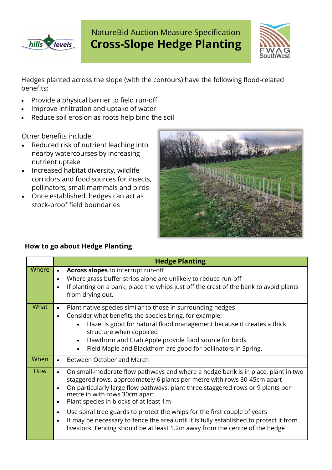

# NatureBid Auction Measure Specification **Cross-Slope Hedge Planting**



Hedges planted across the slope (with the contours) have the following flood-related benefits:

- Provide a physical barrier to field run-off
- Improve infiltration and uptake of water
- Reduce soil erosion as roots help bind the soil

Other benefits include:

- Reduced risk of nutrient leaching into nearby watercourses by increasing nutrient uptake
- Increased habitat diversity, wildlife corridors and food sources for insects, pollinators, small mammals and birds
- Once established, hedges can act as stock-proof field boundaries



## **How to go about Hedge Planting**

|             | <b>Hedge Planting</b>                                                                                                                                                                                                                                                                                                                                                                                                                                                                                                                                              |
|-------------|--------------------------------------------------------------------------------------------------------------------------------------------------------------------------------------------------------------------------------------------------------------------------------------------------------------------------------------------------------------------------------------------------------------------------------------------------------------------------------------------------------------------------------------------------------------------|
| Where       | Across slopes to interrupt run-off<br>$\bullet$<br>Where grass buffer strips alone are unlikely to reduce run-off<br>$\bullet$<br>If planting on a bank, place the whips just off the crest of the bank to avoid plants<br>$\bullet$<br>from drying out.                                                                                                                                                                                                                                                                                                           |
| <b>What</b> | Plant native species similar to those in surrounding hedges<br>$\bullet$<br>Consider what benefits the species bring, for example:<br>$\bullet$<br>Hazel is good for natural flood management because it creates a thick<br>structure when coppiced<br>Hawthorn and Crab Apple provide food source for birds<br>$\bullet$<br>Field Maple and Blackthorn are good for pollinators in Spring.                                                                                                                                                                        |
| When        | Between October and March<br>$\bullet$                                                                                                                                                                                                                                                                                                                                                                                                                                                                                                                             |
| <b>How</b>  | On small-moderate flow pathways and where a hedge bank is in place, plant in two<br>$\bullet$<br>staggered rows, approximately 6 plants per metre with rows 30-45cm apart<br>On particularly large flow pathways, plant three staggered rows or 9 plants per<br>$\bullet$<br>metre in with rows 30cm apart<br>Plant species in blocks of at least 1m<br>$\bullet$<br>Use spiral tree guards to protect the whips for the first couple of years<br>$\bullet$<br>It may be necessary to fence the area until it is fully established to protect it from<br>$\bullet$ |
|             | livestock. Fencing should be at least 1.2m away from the centre of the hedge                                                                                                                                                                                                                                                                                                                                                                                                                                                                                       |